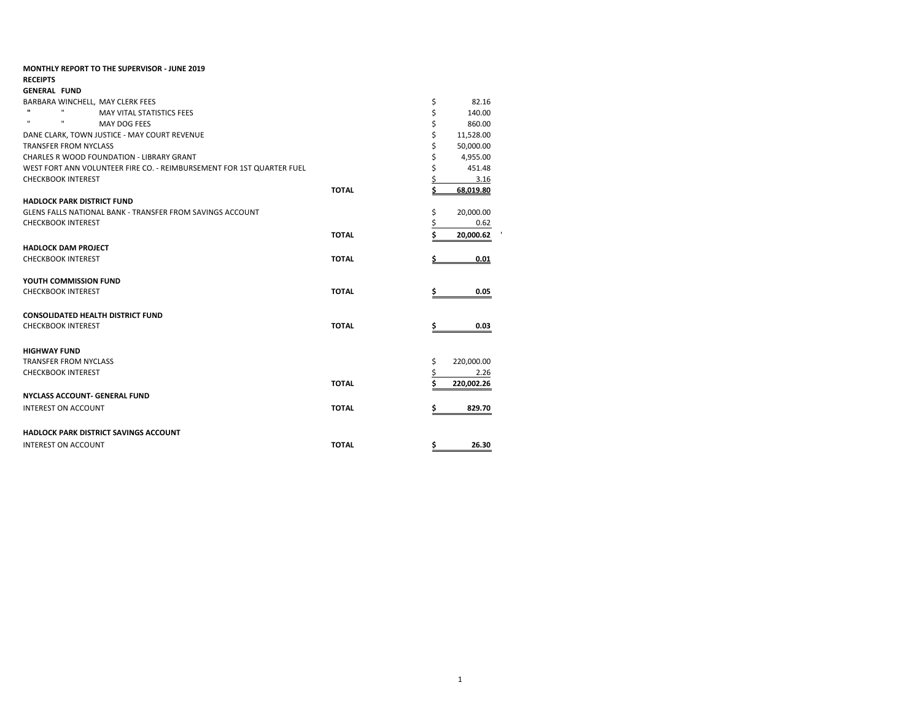|                     |                              | <b>MONTHLY REPORT TO THE SUPERVISOR - JUNE 2019</b>                   |              |    |            |
|---------------------|------------------------------|-----------------------------------------------------------------------|--------------|----|------------|
| <b>RECEIPTS</b>     |                              |                                                                       |              |    |            |
| <b>GENERAL FUND</b> |                              |                                                                       |              |    |            |
|                     |                              | BARBARA WINCHELL, MAY CLERK FEES                                      |              | \$ | 82.16      |
| $\mathbf{H}$        | $\mathbf{H}$                 | MAY VITAL STATISTICS FEES                                             |              | \$ | 140.00     |
| $\mathbf{H}$        | $\mathbf{H}$                 | MAY DOG FEES                                                          |              | \$ | 860.00     |
|                     |                              | DANE CLARK, TOWN JUSTICE - MAY COURT REVENUE                          |              | \$ | 11,528.00  |
|                     | <b>TRANSFER FROM NYCLASS</b> |                                                                       |              | \$ | 50,000.00  |
|                     |                              | <b>CHARLES R WOOD FOUNDATION - LIBRARY GRANT</b>                      |              |    | 4,955.00   |
|                     |                              | WEST FORT ANN VOLUNTEER FIRE CO. - REIMBURSEMENT FOR 1ST QUARTER FUEL |              |    | 451.48     |
|                     | <b>CHECKBOOK INTEREST</b>    |                                                                       |              |    | 3.16       |
|                     |                              |                                                                       | <b>TOTAL</b> |    | 68.019.80  |
|                     |                              | <b>HADLOCK PARK DISTRICT FUND</b>                                     |              |    |            |
|                     |                              | <b>GLENS FALLS NATIONAL BANK - TRANSFER FROM SAVINGS ACCOUNT</b>      |              | \$ | 20,000.00  |
|                     | <b>CHECKBOOK INTEREST</b>    |                                                                       |              | \$ | 0.62       |
|                     |                              |                                                                       | <b>TOTAL</b> |    | 20,000.62  |
|                     | <b>HADLOCK DAM PROJECT</b>   |                                                                       |              |    |            |
|                     | <b>CHECKBOOK INTEREST</b>    |                                                                       | <b>TOTAL</b> |    | 0.01       |
|                     | YOUTH COMMISSION FUND        |                                                                       |              |    |            |
|                     | <b>CHECKBOOK INTEREST</b>    |                                                                       | <b>TOTAL</b> |    | 0.05       |
|                     |                              | <b>CONSOLIDATED HEALTH DISTRICT FUND</b>                              |              |    |            |
|                     | <b>CHECKBOOK INTEREST</b>    |                                                                       | <b>TOTAL</b> |    | 0.03       |
|                     |                              |                                                                       |              |    |            |
| <b>HIGHWAY FUND</b> |                              |                                                                       |              |    |            |
|                     | <b>TRANSFER FROM NYCLASS</b> |                                                                       |              | \$ | 220,000.00 |
|                     | <b>CHECKBOOK INTEREST</b>    |                                                                       |              |    | 2.26       |
|                     |                              |                                                                       | <b>TOTAL</b> | Ś  | 220,002.26 |
|                     |                              | <b>NYCLASS ACCOUNT- GENERAL FUND</b>                                  |              |    |            |
|                     | <b>INTEREST ON ACCOUNT</b>   |                                                                       | <b>TOTAL</b> | \$ | 829.70     |
|                     |                              |                                                                       |              |    |            |
|                     |                              | <b>HADLOCK PARK DISTRICT SAVINGS ACCOUNT</b>                          |              |    |            |
|                     | <b>INTEREST ON ACCOUNT</b>   |                                                                       | <b>TOTAL</b> | \$ | 26.30      |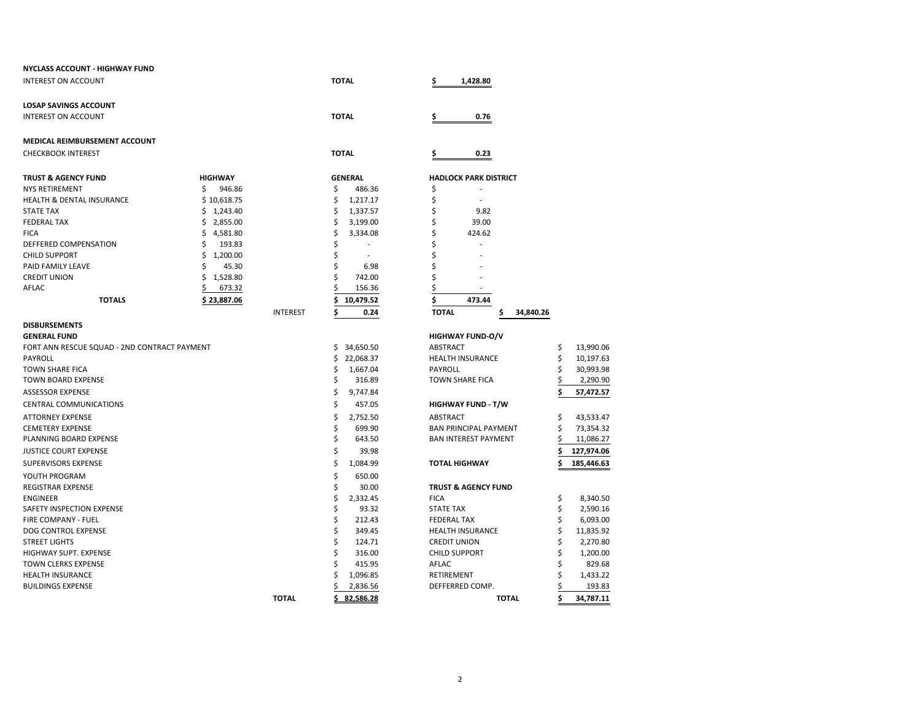| NYCLASS ACCOUNT - HIGHWAY FUND               |                |                 |                              |                                 |           |            |
|----------------------------------------------|----------------|-----------------|------------------------------|---------------------------------|-----------|------------|
| <b>INTEREST ON ACCOUNT</b>                   |                |                 | <b>TOTAL</b>                 | 1,428.80<br>\$                  |           |            |
| <b>LOSAP SAVINGS ACCOUNT</b>                 |                |                 |                              |                                 |           |            |
| <b>INTEREST ON ACCOUNT</b>                   |                |                 | <b>TOTAL</b>                 | \$<br>0.76                      |           |            |
| MEDICAL REIMBURSEMENT ACCOUNT                |                |                 |                              |                                 |           |            |
| <b>CHECKBOOK INTEREST</b>                    |                |                 | <b>TOTAL</b>                 | 0.23                            |           |            |
| <b>TRUST &amp; AGENCY FUND</b>               | <b>HIGHWAY</b> |                 | <b>GENERAL</b>               | <b>HADLOCK PARK DISTRICT</b>    |           |            |
| NYS RETIREMENT                               | \$<br>946.86   |                 | \$<br>486.36                 | \$                              |           |            |
| HEALTH & DENTAL INSURANCE                    | \$10,618.75    |                 | \$<br>1,217.17               | \$                              |           |            |
| <b>STATE TAX</b>                             | Ś.<br>1,243.40 |                 | \$<br>1,337.57               | Ś<br>9.82                       |           |            |
| <b>FEDERAL TAX</b>                           | \$<br>2,855.00 |                 | \$<br>3,199.00               | \$<br>39.00                     |           |            |
| <b>FICA</b>                                  | \$<br>4,581.80 |                 | \$<br>3,334.08               | \$<br>424.62                    |           |            |
| DEFFERED COMPENSATION                        | \$<br>193.83   |                 | \$                           | \$                              |           |            |
| <b>CHILD SUPPORT</b>                         | \$<br>1,200.00 |                 | \$                           | Ś                               |           |            |
| PAID FAMILY LEAVE                            | 45.30<br>Ś     |                 | \$<br>6.98                   | \$                              |           |            |
| <b>CREDIT UNION</b>                          | \$<br>1,528.80 |                 | ς<br>742.00                  | Ś                               |           |            |
| AFLAC                                        | 673.32         |                 | 156.36                       | Ś                               |           |            |
| <b>TOTALS</b>                                | \$23,887.06    |                 | \$<br>10,479.52              | \$<br>473.44                    |           |            |
|                                              |                | <b>INTEREST</b> | \$<br>0.24                   | <b>TOTAL</b><br>34,840.26<br>\$ |           |            |
| <b>DISBURSEMENTS</b>                         |                |                 |                              |                                 |           |            |
| <b>GENERAL FUND</b>                          |                |                 |                              | <b>HIGHWAY FUND-O/V</b>         |           |            |
| FORT ANN RESCUE SQUAD - 2ND CONTRACT PAYMENT |                |                 | \$<br>34,650.50              | ABSTRACT                        | \$        | 13,990.06  |
| PAYROLL                                      |                |                 | Ś<br>22,068.37               | HEALTH INSURANCE                | Ś         | 10,197.63  |
| <b>TOWN SHARE FICA</b>                       |                |                 | \$<br>1,667.04               | PAYROLL                         |           | 30,993.98  |
| <b>TOWN BOARD EXPENSE</b>                    |                |                 | Ś<br>316.89                  | <b>TOWN SHARE FICA</b>          |           | 2,290.90   |
| <b>ASSESSOR EXPENSE</b>                      |                |                 | \$<br>9,747.84               |                                 | S         | 57,472.57  |
| <b>CENTRAL COMMUNICATIONS</b>                |                |                 | \$<br>457.05                 | <b>HIGHWAY FUND - T/W</b>       |           |            |
| <b>ATTORNEY EXPENSE</b>                      |                |                 | \$<br>2,752.50               | ABSTRACT                        | \$        | 43,533.47  |
| <b>CEMETERY EXPENSE</b>                      |                | \$<br>699.90    | <b>BAN PRINCIPAL PAYMENT</b> | Ś                               | 73,354.32 |            |
| PLANNING BOARD EXPENSE                       |                |                 | \$<br>643.50                 | <b>BAN INTEREST PAYMENT</b>     | S         | 11,086.27  |
| <b>JUSTICE COURT EXPENSE</b>                 |                |                 | \$<br>39.98                  |                                 |           | 127,974.06 |
| <b>SUPERVISORS EXPENSE</b>                   |                |                 | \$<br>1,084.99               | <b>TOTAL HIGHWAY</b>            |           | 185,446.63 |
| YOUTH PROGRAM                                |                |                 | \$<br>650.00                 |                                 |           |            |
| REGISTRAR EXPENSE                            |                |                 | \$<br>30.00                  | <b>TRUST &amp; AGENCY FUND</b>  |           |            |
| <b>ENGINEER</b>                              |                |                 | \$<br>2,332.45               | <b>FICA</b>                     | \$        | 8,340.50   |
| SAFETY INSPECTION EXPENSE                    |                |                 | \$<br>93.32                  | <b>STATE TAX</b>                | Ś         | 2,590.16   |
| <b>FIRE COMPANY - FUEL</b>                   |                |                 | \$<br>212.43                 | <b>FEDERAL TAX</b>              | Ś         | 6,093.00   |
| DOG CONTROL EXPENSE                          |                |                 | \$<br>349.45                 | <b>HEALTH INSURANCE</b>         | Ś         | 11,835.92  |
| <b>STREET LIGHTS</b>                         |                |                 | \$<br>124.71                 | <b>CREDIT UNION</b>             | Ś         | 2,270.80   |
| <b>HIGHWAY SUPT. EXPENSE</b>                 |                |                 | \$<br>316.00                 | <b>CHILD SUPPORT</b>            | Ś         | 1,200.00   |
| TOWN CLERKS EXPENSE                          |                |                 | 415.95                       | AFLAC                           | Ś         | 829.68     |
| <b>HEALTH INSURANCE</b>                      |                |                 | 1,096.85                     | RETIREMENT                      | Ś         | 1,433.22   |
| <b>BUILDINGS EXPENSE</b>                     |                | 2,836.56        | DEFFERRED COMP.              | \$                              | 193.83    |            |
|                                              |                | <b>TOTAL</b>    | 82.586.28<br>Ś               | <b>TOTAL</b>                    | \$        | 34,787.11  |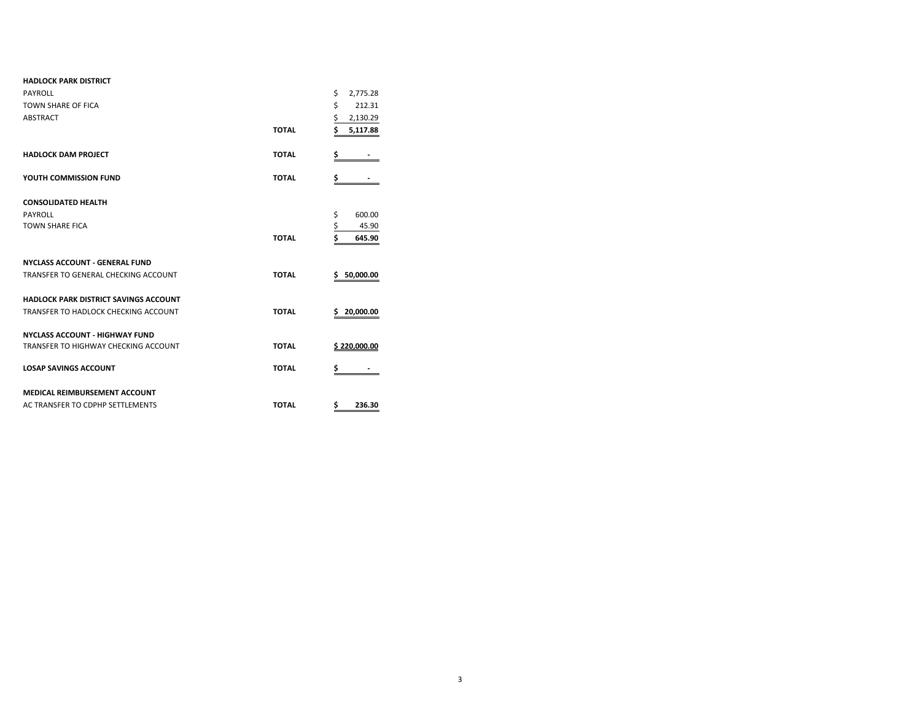| <b>HADLOCK PARK DISTRICT</b>                 |              |                |
|----------------------------------------------|--------------|----------------|
| PAYROLL                                      |              | \$<br>2,775.28 |
| TOWN SHARE OF FICA                           |              | \$<br>212.31   |
| ABSTRACT                                     |              | \$<br>2,130.29 |
|                                              | <b>TOTAL</b> | \$<br>5,117.88 |
| <b>HADLOCK DAM PROJECT</b>                   | <b>TOTAL</b> | \$             |
| YOUTH COMMISSION FUND                        | <b>TOTAL</b> | \$             |
| <b>CONSOLIDATED HEALTH</b>                   |              |                |
| PAYROLL                                      |              | \$<br>600.00   |
| <b>TOWN SHARE FICA</b>                       |              | \$<br>45.90    |
|                                              | <b>TOTAL</b> | \$<br>645.90   |
| <b>NYCLASS ACCOUNT - GENERAL FUND</b>        |              |                |
| TRANSFER TO GENERAL CHECKING ACCOUNT         | <b>TOTAL</b> | \$50,000.00    |
| <b>HADLOCK PARK DISTRICT SAVINGS ACCOUNT</b> |              |                |
| TRANSFER TO HADLOCK CHECKING ACCOUNT         | <b>TOTAL</b> | S<br>20,000.00 |
| <b>NYCLASS ACCOUNT - HIGHWAY FUND</b>        |              |                |
| TRANSFER TO HIGHWAY CHECKING ACCOUNT         | <b>TOTAL</b> | \$220,000.00   |
| <b>LOSAP SAVINGS ACCOUNT</b>                 | <b>TOTAL</b> | \$             |
| <b>MEDICAL REIMBURSEMENT ACCOUNT</b>         |              |                |
| AC TRANSFER TO CDPHP SETTLEMENTS             | <b>TOTAL</b> | Ś<br>236.30    |